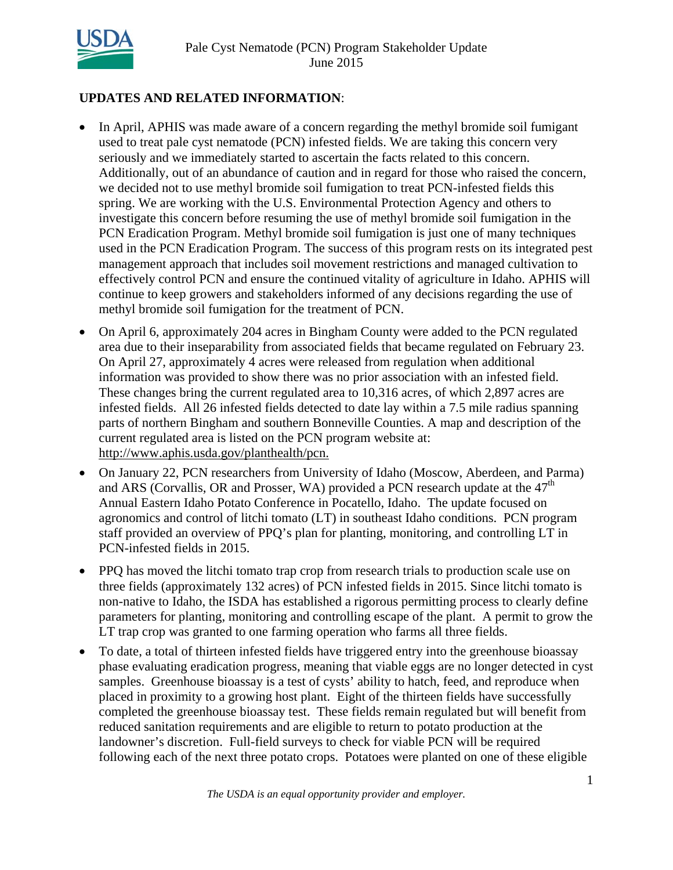

# **UPDATES AND RELATED INFORMATION**:

- In April, APHIS was made aware of a concern regarding the methyl bromide soil fumigant used to treat pale cyst nematode (PCN) infested fields. We are taking this concern very seriously and we immediately started to ascertain the facts related to this concern. Additionally, out of an abundance of caution and in regard for those who raised the concern, we decided not to use methyl bromide soil fumigation to treat PCN-infested fields this spring. We are working with the U.S. Environmental Protection Agency and others to investigate this concern before resuming the use of methyl bromide soil fumigation in the PCN Eradication Program. Methyl bromide soil fumigation is just one of many techniques used in the PCN Eradication Program. The success of this program rests on its integrated pest management approach that includes soil movement restrictions and managed cultivation to effectively control PCN and ensure the continued vitality of agriculture in Idaho. APHIS will continue to keep growers and stakeholders informed of any decisions regarding the use of methyl bromide soil fumigation for the treatment of PCN.
- On April 6, approximately 204 acres in Bingham County were added to the PCN regulated area due to their inseparability from associated fields that became regulated on February 23. On April 27, approximately 4 acres were released from regulation when additional information was provided to show there was no prior association with an infested field. These changes bring the current regulated area to 10,316 acres, of which 2,897 acres are infested fields. All 26 infested fields detected to date lay within a 7.5 mile radius spanning parts of northern Bingham and southern Bonneville Counties. A map and description of the current regulated area is listed on the PCN program website at: http://www.aphis.usda.gov/planthealth/pcn.
- On January 22, PCN researchers from University of Idaho (Moscow, Aberdeen, and Parma) and ARS (Corvallis, OR and Prosser, WA) provided a PCN research update at the  $47<sup>th</sup>$ Annual Eastern Idaho Potato Conference in Pocatello, Idaho. The update focused on agronomics and control of litchi tomato (LT) in southeast Idaho conditions. PCN program staff provided an overview of PPQ's plan for planting, monitoring, and controlling LT in PCN-infested fields in 2015.
- PPO has moved the litchi tomato trap crop from research trials to production scale use on three fields (approximately 132 acres) of PCN infested fields in 2015. Since litchi tomato is non-native to Idaho, the ISDA has established a rigorous permitting process to clearly define parameters for planting, monitoring and controlling escape of the plant. A permit to grow the LT trap crop was granted to one farming operation who farms all three fields.
- To date, a total of thirteen infested fields have triggered entry into the greenhouse bioassay phase evaluating eradication progress, meaning that viable eggs are no longer detected in cyst samples. Greenhouse bioassay is a test of cysts' ability to hatch, feed, and reproduce when placed in proximity to a growing host plant. Eight of the thirteen fields have successfully completed the greenhouse bioassay test. These fields remain regulated but will benefit from reduced sanitation requirements and are eligible to return to potato production at the landowner's discretion. Full-field surveys to check for viable PCN will be required following each of the next three potato crops. Potatoes were planted on one of these eligible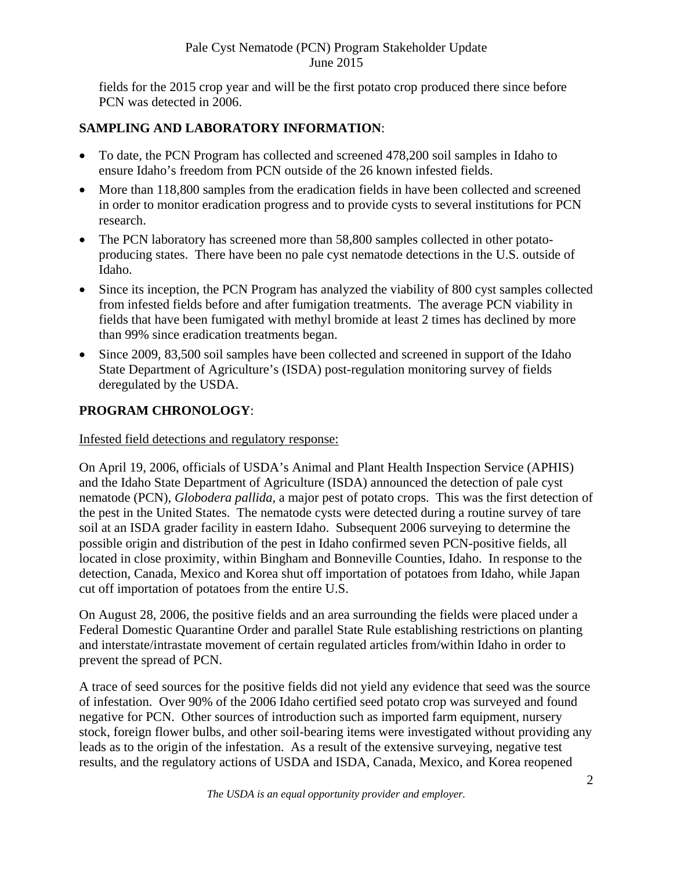fields for the 2015 crop year and will be the first potato crop produced there since before PCN was detected in 2006.

# **SAMPLING AND LABORATORY INFORMATION**:

- To date, the PCN Program has collected and screened 478,200 soil samples in Idaho to ensure Idaho's freedom from PCN outside of the 26 known infested fields.
- More than 118,800 samples from the eradication fields in have been collected and screened in order to monitor eradication progress and to provide cysts to several institutions for PCN research.
- The PCN laboratory has screened more than 58,800 samples collected in other potatoproducing states. There have been no pale cyst nematode detections in the U.S. outside of Idaho.
- Since its inception, the PCN Program has analyzed the viability of 800 cyst samples collected from infested fields before and after fumigation treatments. The average PCN viability in fields that have been fumigated with methyl bromide at least 2 times has declined by more than 99% since eradication treatments began.
- Since 2009, 83,500 soil samples have been collected and screened in support of the Idaho State Department of Agriculture's (ISDA) post-regulation monitoring survey of fields deregulated by the USDA.

# **PROGRAM CHRONOLOGY**:

## Infested field detections and regulatory response:

On April 19, 2006, officials of USDA's Animal and Plant Health Inspection Service (APHIS) and the Idaho State Department of Agriculture (ISDA) announced the detection of pale cyst nematode (PCN), *Globodera pallida*, a major pest of potato crops. This was the first detection of the pest in the United States. The nematode cysts were detected during a routine survey of tare soil at an ISDA grader facility in eastern Idaho. Subsequent 2006 surveying to determine the possible origin and distribution of the pest in Idaho confirmed seven PCN-positive fields, all located in close proximity, within Bingham and Bonneville Counties, Idaho. In response to the detection, Canada, Mexico and Korea shut off importation of potatoes from Idaho, while Japan cut off importation of potatoes from the entire U.S.

On August 28, 2006, the positive fields and an area surrounding the fields were placed under a Federal Domestic Quarantine Order and parallel State Rule establishing restrictions on planting and interstate/intrastate movement of certain regulated articles from/within Idaho in order to prevent the spread of PCN.

A trace of seed sources for the positive fields did not yield any evidence that seed was the source of infestation. Over 90% of the 2006 Idaho certified seed potato crop was surveyed and found negative for PCN. Other sources of introduction such as imported farm equipment, nursery stock, foreign flower bulbs, and other soil-bearing items were investigated without providing any leads as to the origin of the infestation. As a result of the extensive surveying, negative test results, and the regulatory actions of USDA and ISDA, Canada, Mexico, and Korea reopened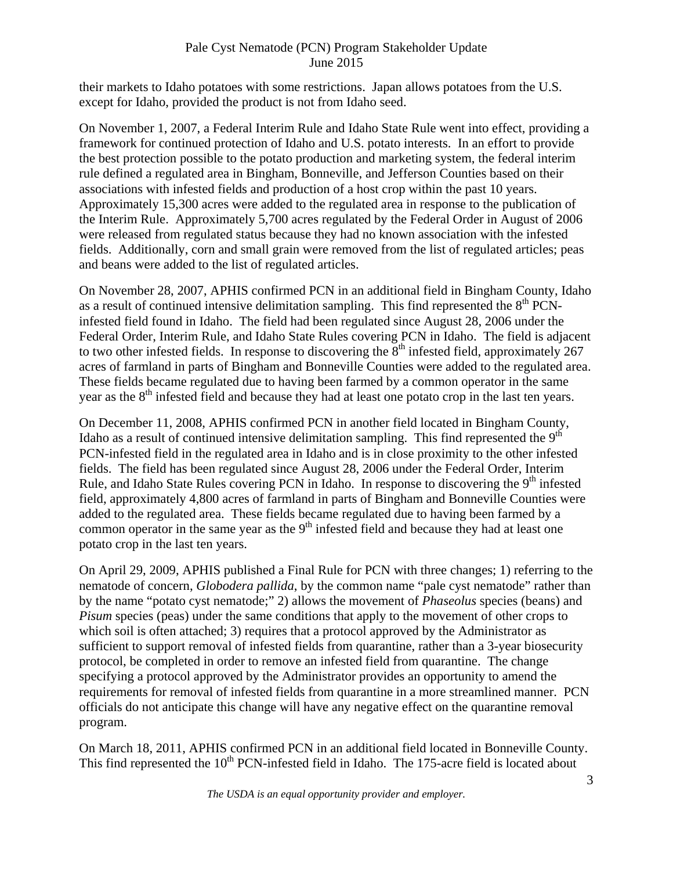their markets to Idaho potatoes with some restrictions. Japan allows potatoes from the U.S. except for Idaho, provided the product is not from Idaho seed.

On November 1, 2007, a Federal Interim Rule and Idaho State Rule went into effect, providing a framework for continued protection of Idaho and U.S. potato interests. In an effort to provide the best protection possible to the potato production and marketing system, the federal interim rule defined a regulated area in Bingham, Bonneville, and Jefferson Counties based on their associations with infested fields and production of a host crop within the past 10 years. Approximately 15,300 acres were added to the regulated area in response to the publication of the Interim Rule. Approximately 5,700 acres regulated by the Federal Order in August of 2006 were released from regulated status because they had no known association with the infested fields. Additionally, corn and small grain were removed from the list of regulated articles; peas and beans were added to the list of regulated articles.

On November 28, 2007, APHIS confirmed PCN in an additional field in Bingham County, Idaho as a result of continued intensive delimitation sampling. This find represented the  $8<sup>th</sup>$  PCNinfested field found in Idaho. The field had been regulated since August 28, 2006 under the Federal Order, Interim Rule, and Idaho State Rules covering PCN in Idaho. The field is adjacent to two other infested fields. In response to discovering the  $8<sup>th</sup>$  infested field, approximately 267 acres of farmland in parts of Bingham and Bonneville Counties were added to the regulated area. These fields became regulated due to having been farmed by a common operator in the same year as the  $8<sup>th</sup>$  infested field and because they had at least one potato crop in the last ten years.

On December 11, 2008, APHIS confirmed PCN in another field located in Bingham County, Idaho as a result of continued intensive delimitation sampling. This find represented the  $9<sup>th</sup>$ PCN-infested field in the regulated area in Idaho and is in close proximity to the other infested fields. The field has been regulated since August 28, 2006 under the Federal Order, Interim Rule, and Idaho State Rules covering PCN in Idaho. In response to discovering the  $9<sup>th</sup>$  infested field, approximately 4,800 acres of farmland in parts of Bingham and Bonneville Counties were added to the regulated area. These fields became regulated due to having been farmed by a common operator in the same year as the  $9<sup>th</sup>$  infested field and because they had at least one potato crop in the last ten years.

On April 29, 2009, APHIS published a Final Rule for PCN with three changes; 1) referring to the nematode of concern, *Globodera pallida*, by the common name "pale cyst nematode" rather than by the name "potato cyst nematode;" 2) allows the movement of *Phaseolus* species (beans) and *Pisum* species (peas) under the same conditions that apply to the movement of other crops to which soil is often attached; 3) requires that a protocol approved by the Administrator as sufficient to support removal of infested fields from quarantine, rather than a 3-year biosecurity protocol, be completed in order to remove an infested field from quarantine. The change specifying a protocol approved by the Administrator provides an opportunity to amend the requirements for removal of infested fields from quarantine in a more streamlined manner. PCN officials do not anticipate this change will have any negative effect on the quarantine removal program.

On March 18, 2011, APHIS confirmed PCN in an additional field located in Bonneville County. This find represented the  $10<sup>th</sup>$  PCN-infested field in Idaho. The 175-acre field is located about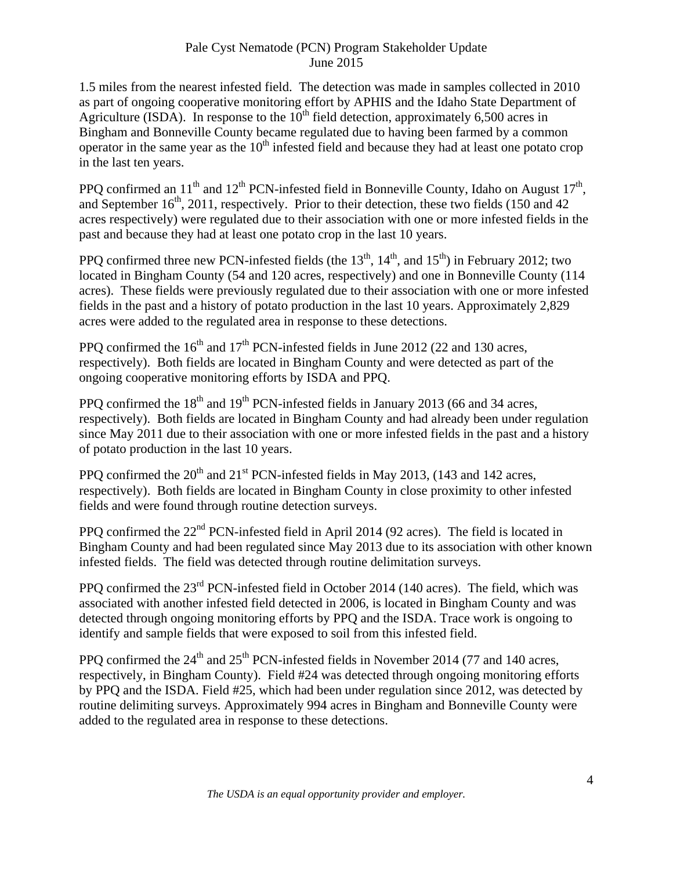1.5 miles from the nearest infested field. The detection was made in samples collected in 2010 as part of ongoing cooperative monitoring effort by APHIS and the Idaho State Department of Agriculture (ISDA). In response to the  $10<sup>th</sup>$  field detection, approximately 6,500 acres in Bingham and Bonneville County became regulated due to having been farmed by a common operator in the same year as the  $10<sup>th</sup>$  infested field and because they had at least one potato crop in the last ten years.

PPO confirmed an  $11<sup>th</sup>$  and  $12<sup>th</sup>$  PCN-infested field in Bonneville County, Idaho on August  $17<sup>th</sup>$ , and September  $16<sup>th</sup>$ , 2011, respectively. Prior to their detection, these two fields (150 and 42) acres respectively) were regulated due to their association with one or more infested fields in the past and because they had at least one potato crop in the last 10 years.

PPO confirmed three new PCN-infested fields (the  $13<sup>th</sup>$ ,  $14<sup>th</sup>$ , and  $15<sup>th</sup>$ ) in February 2012; two located in Bingham County (54 and 120 acres, respectively) and one in Bonneville County (114 acres). These fields were previously regulated due to their association with one or more infested fields in the past and a history of potato production in the last 10 years. Approximately 2,829 acres were added to the regulated area in response to these detections.

PPQ confirmed the  $16<sup>th</sup>$  and  $17<sup>th</sup>$  PCN-infested fields in June 2012 (22 and 130 acres, respectively). Both fields are located in Bingham County and were detected as part of the ongoing cooperative monitoring efforts by ISDA and PPQ.

PPQ confirmed the  $18<sup>th</sup>$  and  $19<sup>th</sup>$  PCN-infested fields in January 2013 (66 and 34 acres, respectively). Both fields are located in Bingham County and had already been under regulation since May 2011 due to their association with one or more infested fields in the past and a history of potato production in the last 10 years.

PPQ confirmed the  $20<sup>th</sup>$  and  $21<sup>st</sup>$  PCN-infested fields in May 2013, (143 and 142 acres, respectively). Both fields are located in Bingham County in close proximity to other infested fields and were found through routine detection surveys.

PPQ confirmed the 22<sup>nd</sup> PCN-infested field in April 2014 (92 acres). The field is located in Bingham County and had been regulated since May 2013 due to its association with other known infested fields. The field was detected through routine delimitation surveys.

PPQ confirmed the 23<sup>rd</sup> PCN-infested field in October 2014 (140 acres). The field, which was associated with another infested field detected in 2006, is located in Bingham County and was detected through ongoing monitoring efforts by PPQ and the ISDA. Trace work is ongoing to identify and sample fields that were exposed to soil from this infested field.

PPQ confirmed the  $24<sup>th</sup>$  and  $25<sup>th</sup>$  PCN-infested fields in November 2014 (77 and 140 acres, respectively, in Bingham County). Field #24 was detected through ongoing monitoring efforts by PPQ and the ISDA. Field #25, which had been under regulation since 2012, was detected by routine delimiting surveys. Approximately 994 acres in Bingham and Bonneville County were added to the regulated area in response to these detections.